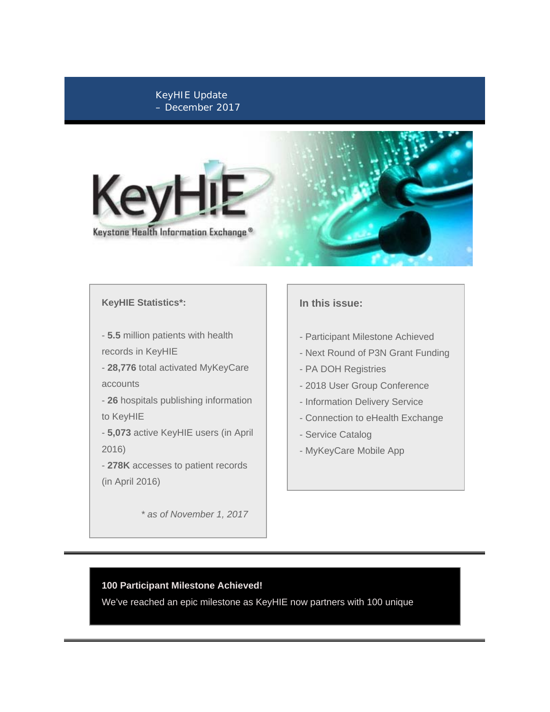# KeyHIE Update – December 2017



## **KeyHIE Statistics\*:**

- **5.5** million patients with health records in KeyHIE
- **28,776** total activated MyKeyCare accounts
- - **26** hospitals publishing information to KeyHIE
- **5,073** active KeyHIE users (in April 2016)
- **278K** accesses to patient records (in April 2016)

 *\* as of November 1, 2017*

# **In this issue:**

- Participant Milestone Achieved
- Next Round of P3N Grant Funding
- PA DOH Registries
- 2018 User Group Conference
- Information Delivery Service
- Connection to eHealth Exchange
- Service Catalog
- MyKeyCare Mobile App

# **100 Participant Milestone Achieved!**

We've reached an epic milestone as KeyHIE now partners with 100 unique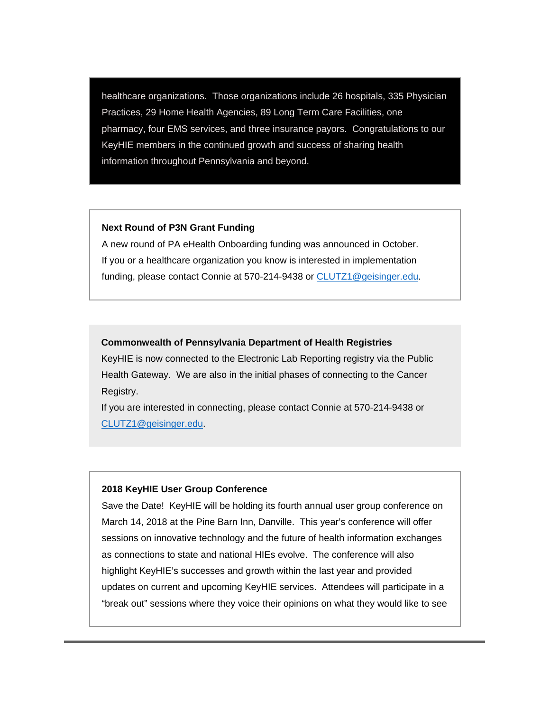healthcare organizations. Those organizations include 26 hospitals, 335 Physician Practices, 29 Home Health Agencies, 89 Long Term Care Facilities, one pharmacy, four EMS services, and three insurance payors. Congratulations to our KeyHIE members in the continued growth and success of sharing health information throughout Pennsylvania and beyond.

#### **Next Round of P3N Grant Funding**

A new round of PA eHealth Onboarding funding was announced in October. If you or a healthcare organization you know is interested in implementation funding, please contact Connie at 570-214-9438 or CLUTZ1@geisinger.edu.

#### **Commonwealth of Pennsylvania Department of Health Registries**

KeyHIE is now connected to the Electronic Lab Reporting registry via the Public Health Gateway. We are also in the initial phases of connecting to the Cancer Registry.

If you are interested in connecting, please contact Connie at 570-214-9438 or CLUTZ1@geisinger.edu.

# **2018 KeyHIE User Group Conference**

Save the Date! KeyHIE will be holding its fourth annual user group conference on March 14, 2018 at the Pine Barn Inn, Danville. This year's conference will offer sessions on innovative technology and the future of health information exchanges as connections to state and national HIEs evolve. The conference will also highlight KeyHIE's successes and growth within the last year and provided updates on current and upcoming KeyHIE services. Attendees will participate in a "break out" sessions where they voice their opinions on what they would like to see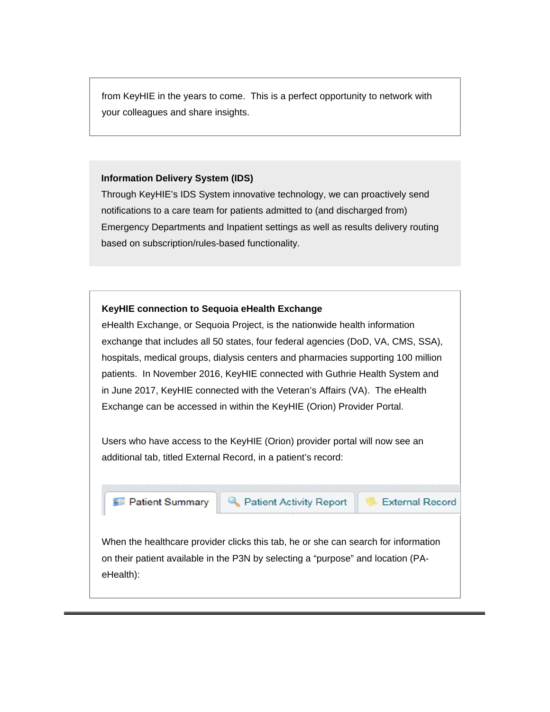from KeyHIE in the years to come. This is a perfect opportunity to network with your colleagues and share insights.

## **Information Delivery System (IDS)**

Through KeyHIE's IDS System innovative technology, we can proactively send notifications to a care team for patients admitted to (and discharged from) Emergency Departments and Inpatient settings as well as results delivery routing based on subscription/rules-based functionality.

## **KeyHIE connection to Sequoia eHealth Exchange**

eHealth Exchange, or Sequoia Project, is the nationwide health information exchange that includes all 50 states, four federal agencies (DoD, VA, CMS, SSA), hospitals, medical groups, dialysis centers and pharmacies supporting 100 million patients. In November 2016, KeyHIE connected with Guthrie Health System and in June 2017, KeyHIE connected with the Veteran's Affairs (VA). The eHealth Exchange can be accessed in within the KeyHIE (Orion) Provider Portal.

Users who have access to the KeyHIE (Orion) provider portal will now see an additional tab, titled External Record, in a patient's record:

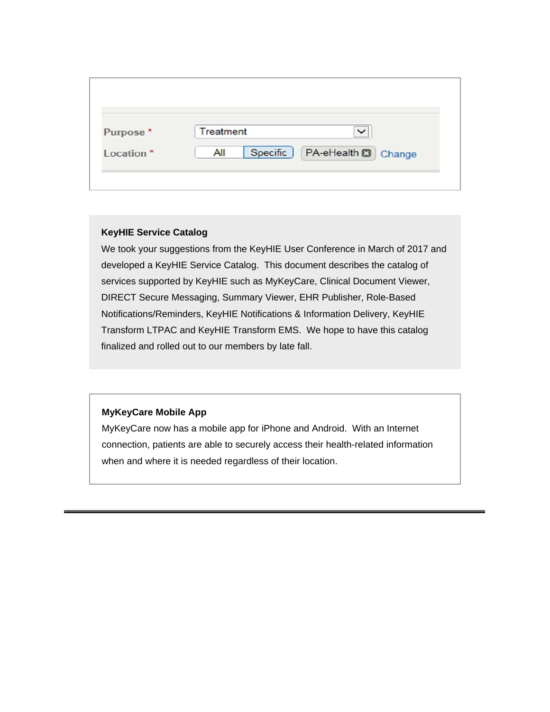| Purpose <sup>*</sup> | <b>Treatment</b> |  |
|----------------------|------------------|--|

# **KeyHIE Service Catalog**

We took your suggestions from the KeyHIE User Conference in March of 2017 and developed a KeyHIE Service Catalog. This document describes the catalog of services supported by KeyHIE such as MyKeyCare, Clinical Document Viewer, DIRECT Secure Messaging, Summary Viewer, EHR Publisher, Role-Based Notifications/Reminders, KeyHIE Notifications & Information Delivery, KeyHIE Transform LTPAC and KeyHIE Transform EMS. We hope to have this catalog finalized and rolled out to our members by late fall.

## **MyKeyCare Mobile App**

MyKeyCare now has a mobile app for iPhone and Android. With an Internet connection, patients are able to securely access their health-related information when and where it is needed regardless of their location.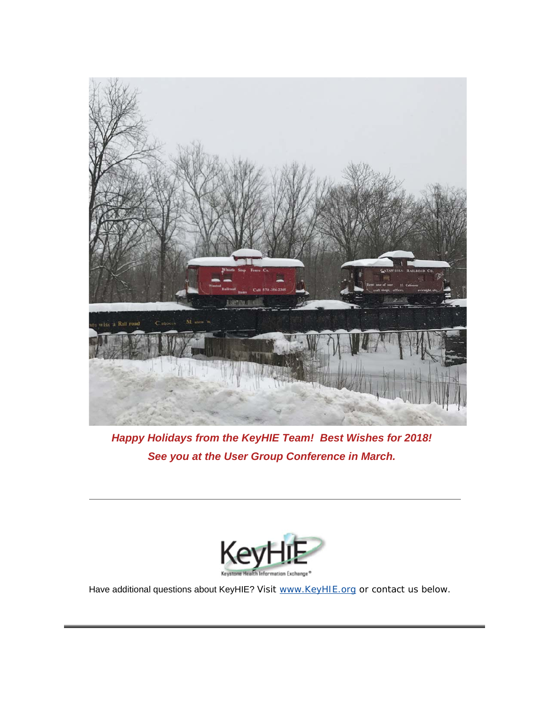

*Happy Holidays from the KeyHIE Team! Best Wishes for 2018! See you at the User Group Conference in March.* 



Have additional questions about KeyHIE? Visit www.KeyHIE.org or contact us below.